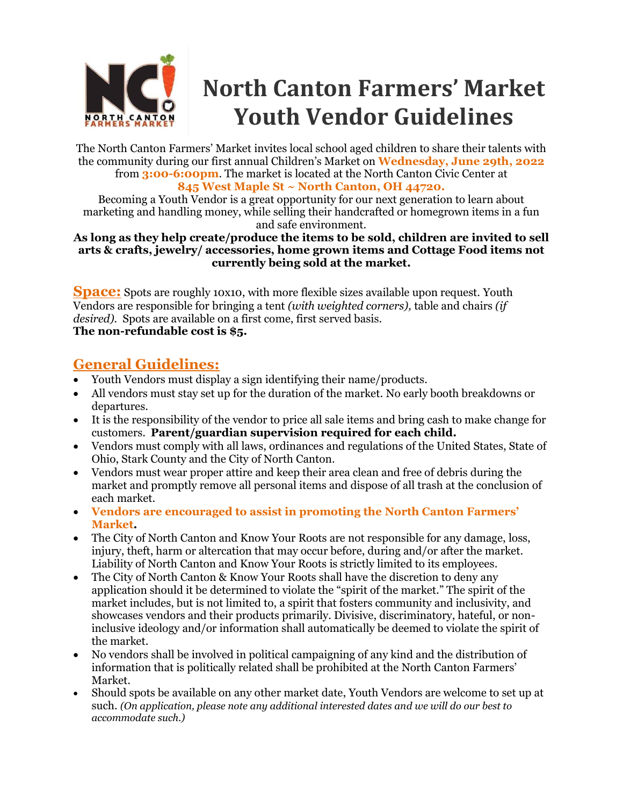

# **North Canton Farmers' Market Youth Vendor Guidelines**

The North Canton Farmers' Market invites local school aged children to share their talents with the community during our first annual Children's Market on **Wednesday, June 29th, 2022** from **3:00-6:00pm**. The market is located at the North Canton Civic Center at **845 West Maple St ~ North Canton, OH 44720.**

Becoming a Youth Vendor is a great opportunity for our next generation to learn about marketing and handling money, while selling their handcrafted or homegrown items in a fun and safe environment.

### **As long as they help create/produce the items to be sold, children are invited to sell arts & crafts, jewelry/ accessories, home grown items and Cottage Food items not currently being sold at the market.**

**Space:** Spots are roughly 10x10, with more flexible sizes available upon request. Youth Vendors are responsible for bringing a tent *(with weighted corners),* table and chairs *(if desired).* Spots are available on a first come, first served basis. **The non-refundable cost is \$5.**

### **General Guidelines:**

- Youth Vendors must display a sign identifying their name/products.
- All vendors must stay set up for the duration of the market. No early booth breakdowns or departures.
- It is the responsibility of the vendor to price all sale items and bring cash to make change for customers. **Parent/guardian supervision required for each child.**
- Vendors must comply with all laws, ordinances and regulations of the United States, State of Ohio, Stark County and the City of North Canton.
- Vendors must wear proper attire and keep their area clean and free of debris during the market and promptly remove all personal items and dispose of all trash at the conclusion of each market.
- **Vendors are encouraged to assist in promoting the North Canton Farmers' Market.**
- The City of North Canton and Know Your Roots are not responsible for any damage, loss, injury, theft, harm or altercation that may occur before, during and/or after the market. Liability of North Canton and Know Your Roots is strictly limited to its employees.
- The City of North Canton & Know Your Roots shall have the discretion to deny any application should it be determined to violate the "spirit of the market." The spirit of the market includes, but is not limited to, a spirit that fosters community and inclusivity, and showcases vendors and their products primarily. Divisive, discriminatory, hateful, or noninclusive ideology and/or information shall automatically be deemed to violate the spirit of the market.
- No vendors shall be involved in political campaigning of any kind and the distribution of information that is politically related shall be prohibited at the North Canton Farmers' Market.
- Should spots be available on any other market date, Youth Vendors are welcome to set up at such. *(On application, please note any additional interested dates and we will do our best to accommodate such.)*